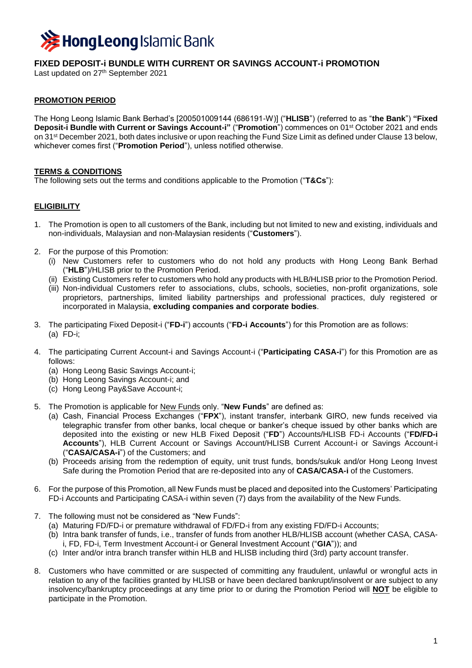

# **FIXED DEPOSIT-i BUNDLE WITH CURRENT OR SAVINGS ACCOUNT-i PROMOTION**

Last updated on 27 th September 2021

# **PROMOTION PERIOD**

The Hong Leong Islamic Bank Berhad's [200501009144 (686191-W)] ("**HLISB**") (referred to as "**the Bank**") **"Fixed Deposit-i Bundle with Current or Savings Account-i" ("Promotion") commences on 01st October 2021 and ends** on 31 st December 2021, both dates inclusive or upon reaching the Fund Size Limit as defined under Clause 13 below, whichever comes first ("**Promotion Period**"), unless notified otherwise.

# **TERMS & CONDITIONS**

The following sets out the terms and conditions applicable to the Promotion ("**T&Cs**"):

### **ELIGIBILITY**

- 1. The Promotion is open to all customers of the Bank, including but not limited to new and existing, individuals and non-individuals, Malaysian and non-Malaysian residents ("**Customers**").
- 2. For the purpose of this Promotion:
	- (i) New Customers refer to customers who do not hold any products with Hong Leong Bank Berhad ("**HLB**")/HLISB prior to the Promotion Period.
	- (ii) Existing Customers refer to customers who hold any products with HLB/HLISB prior to the Promotion Period.
	- (iii) Non-individual Customers refer to associations, clubs, schools, societies, non-profit organizations, sole proprietors, partnerships, limited liability partnerships and professional practices, duly registered or incorporated in Malaysia, **excluding companies and corporate bodies**.
- 3. The participating Fixed Deposit-i ("**FD-i**") accounts ("**FD-i Accounts**") for this Promotion are as follows: (a) FD-i;
- 4. The participating Current Account-i and Savings Account-i ("**Participating CASA-i**") for this Promotion are as follows:
	- (a) Hong Leong Basic Savings Account-i;
	- (b) Hong Leong Savings Account-i; and
	- (c) Hong Leong Pay&Save Account-i;
- 5. The Promotion is applicable for New Funds only. "**New Funds**" are defined as:
	- (a) Cash, Financial Process Exchanges ("**FPX**"), instant transfer, interbank GIRO, new funds received via telegraphic transfer from other banks, local cheque or banker's cheque issued by other banks which are deposited into the existing or new HLB Fixed Deposit ("**FD**") Accounts/HLISB FD-i Accounts ("**FD/FD-i Accounts**"), HLB Current Account or Savings Account/HLISB Current Account-i or Savings Account-i ("**CASA/CASA-i**") of the Customers; and
	- (b) Proceeds arising from the redemption of equity, unit trust funds, bonds/sukuk and/or Hong Leong Invest Safe during the Promotion Period that are re-deposited into any of **CASA/CASA-i** of the Customers.
- 6. For the purpose of this Promotion, all New Funds must be placed and deposited into the Customers' Participating FD-i Accounts and Participating CASA-i within seven (7) days from the availability of the New Funds.
- 7. The following must not be considered as "New Funds":
	- (a) Maturing FD/FD-i or premature withdrawal of FD/FD-i from any existing FD/FD-i Accounts;
	- (b) Intra bank transfer of funds, i.e., transfer of funds from another HLB/HLISB account (whether CASA, CASAi, FD, FD-i, Term Investment Account-i or General Investment Account ("**GIA**")); and
	- (c) Inter and/or intra branch transfer within HLB and HLISB including third (3rd) party account transfer.
- 8. Customers who have committed or are suspected of committing any fraudulent, unlawful or wrongful acts in relation to any of the facilities granted by HLISB or have been declared bankrupt/insolvent or are subject to any insolvency/bankruptcy proceedings at any time prior to or during the Promotion Period will **NOT** be eligible to participate in the Promotion.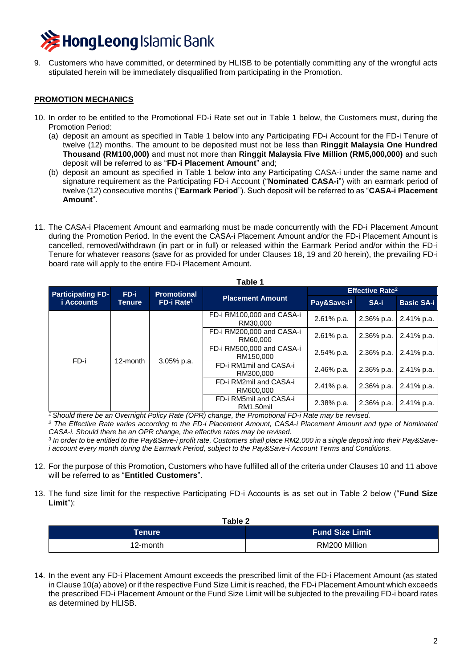

9. Customers who have committed, or determined by HLISB to be potentially committing any of the wrongful acts stipulated herein will be immediately disqualified from participating in the Promotion.

#### **PROMOTION MECHANICS**

- 10. In order to be entitled to the Promotional FD-i Rate set out in Table 1 below, the Customers must, during the Promotion Period:
	- (a) deposit an amount as specified in Table 1 below into any Participating FD-i Account for the FD-i Tenure of twelve (12) months. The amount to be deposited must not be less than **Ringgit Malaysia One Hundred Thousand (RM100,000)** and must not more than **Ringgit Malaysia Five Million (RM5,000,000)** and such deposit will be referred to as "**FD-i Placement Amount**" and;
	- (b) deposit an amount as specified in Table 1 below into any Participating CASA-i under the same name and signature requirement as the Participating FD-i Account ("**Nominated CASA-i**") with an earmark period of twelve (12) consecutive months ("**Earmark Period**"). Such deposit will be referred to as "**CASA-i Placement Amount**".
- 11. The CASA-i Placement Amount and earmarking must be made concurrently with the FD-i Placement Amount during the Promotion Period. In the event the CASA-i Placement Amount and/or the FD-i Placement Amount is cancelled, removed/withdrawn (in part or in full) or released within the Earmark Period and/or within the FD-i Tenure for whatever reasons (save for as provided for under Clauses 18, 19 and 20 herein), the prevailing FD-i board rate will apply to the entire FD-i Placement Amount.

**Table 1**

| <b>Participating FD-</b><br><i>i</i> Accounts | FD-i<br>Tenure | <b>Promotional</b><br>$FD-i Rate1$ | <b>Placement Amount</b>                | <b>Effective Rate<sup>2</sup></b> |            |                   |
|-----------------------------------------------|----------------|------------------------------------|----------------------------------------|-----------------------------------|------------|-------------------|
|                                               |                |                                    |                                        | Pay&Save-i <sup>3</sup>           | SA-i       | <b>Basic SA-i</b> |
| FD-i                                          | 12-month       | 3.05% p.a.                         | FD-i RM100,000 and CASA-i<br>RM30,000  | 2.61% p.a.                        | 2.36% p.a. | 2.41% p.a.        |
|                                               |                |                                    | FD-i RM200,000 and CASA-i<br>RM60,000  | 2.61% p.a.                        | 2.36% p.a. | 2.41% p.a.        |
|                                               |                |                                    | FD-i RM500,000 and CASA-i<br>RM150,000 | 2.54% p.a.                        | 2.36% p.a. | 2.41% p.a.        |
|                                               |                |                                    | FD-i RM1mil and CASA-i<br>RM300,000    | 2.46% p.a.                        | 2.36% p.a. | 2.41% p.a.        |
|                                               |                |                                    | FD-i RM2mil and CASA-i<br>RM600,000    | 2.41% p.a.                        | 2.36% p.a. | 2.41% p.a.        |
|                                               |                |                                    | FD-i RM5mil and CASA-i<br>RM1.50mil    | 2.38% p.a.                        | 2.36% p.a. | 2.41% p.a.        |

*<sup>1</sup>Should there be an Overnight Policy Rate (OPR) change, the Promotional FD-i Rate may be revised.*

*<sup>2</sup> The Effective Rate varies according to the FD-i Placement Amount, CASA-i Placement Amount and type of Nominated CASA-i. Should there be an OPR change, the effective rates may be revised.*

*3 In order to be entitled to the Pay&Save-i profit rate, Customers shall place RM2,000 in a single deposit into their Pay&Savei account every month during the Earmark Period, subject to the Pay&Save-i Account Terms and Conditions.* 

- 12. For the purpose of this Promotion, Customers who have fulfilled all of the criteria under Clauses 10 and 11 above will be referred to as "**Entitled Customers**".
- 13. The fund size limit for the respective Participating FD-i Accounts is as set out in Table 2 below ("**Fund Size Limit**"):

**Table 2**

| Table z  |                        |  |  |  |
|----------|------------------------|--|--|--|
| Tenure   | <b>Fund Size Limit</b> |  |  |  |
| 12-month | RM200 Million          |  |  |  |

14. In the event any FD-i Placement Amount exceeds the prescribed limit of the FD-i Placement Amount (as stated in Clause 10(a) above) or if the respective Fund Size Limit is reached, the FD-i Placement Amount which exceeds the prescribed FD-i Placement Amount or the Fund Size Limit will be subjected to the prevailing FD-i board rates as determined by HLISB.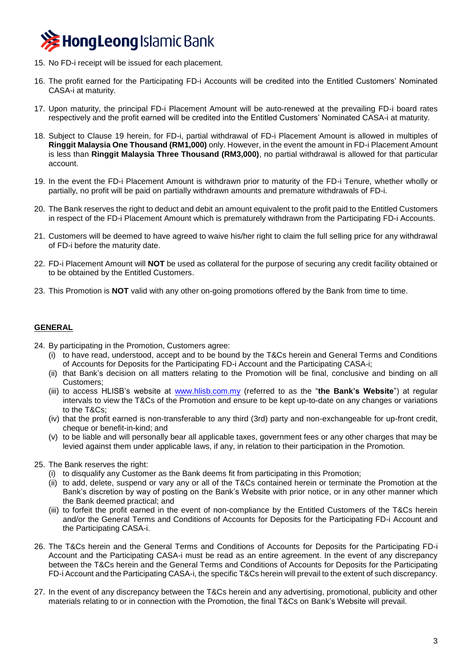

- 15. No FD-i receipt will be issued for each placement.
- 16. The profit earned for the Participating FD-i Accounts will be credited into the Entitled Customers' Nominated CASA-i at maturity.
- 17. Upon maturity, the principal FD-i Placement Amount will be auto-renewed at the prevailing FD-i board rates respectively and the profit earned will be credited into the Entitled Customers' Nominated CASA-i at maturity.
- 18. Subject to Clause 19 herein, for FD-i, partial withdrawal of FD-i Placement Amount is allowed in multiples of **Ringgit Malaysia One Thousand (RM1,000)** only. However, in the event the amount in FD-i Placement Amount is less than **Ringgit Malaysia Three Thousand (RM3,000)**, no partial withdrawal is allowed for that particular account.
- 19. In the event the FD-i Placement Amount is withdrawn prior to maturity of the FD-i Tenure, whether wholly or partially, no profit will be paid on partially withdrawn amounts and premature withdrawals of FD-i.
- 20. The Bank reserves the right to deduct and debit an amount equivalent to the profit paid to the Entitled Customers in respect of the FD-i Placement Amount which is prematurely withdrawn from the Participating FD-i Accounts.
- 21. Customers will be deemed to have agreed to waive his/her right to claim the full selling price for any withdrawal of FD-i before the maturity date.
- 22. FD-i Placement Amount will **NOT** be used as collateral for the purpose of securing any credit facility obtained or to be obtained by the Entitled Customers.
- 23. This Promotion is **NOT** valid with any other on-going promotions offered by the Bank from time to time.

### **GENERAL**

- 24. By participating in the Promotion, Customers agree:
	- (i) to have read, understood, accept and to be bound by the T&Cs herein and General Terms and Conditions of Accounts for Deposits for the Participating FD-i Account and the Participating CASA-i;
	- (ii) that Bank's decision on all matters relating to the Promotion will be final, conclusive and binding on all Customers;
	- (iii) to access HLISB's website at [www.hlisb.com.my](http://www.hlisb.com.my/) (referred to as the "**the Bank's Website**") at regular intervals to view the T&Cs of the Promotion and ensure to be kept up-to-date on any changes or variations to the T&Cs;
	- (iv) that the profit earned is non-transferable to any third (3rd) party and non-exchangeable for up-front credit, cheque or benefit-in-kind; and
	- (v) to be liable and will personally bear all applicable taxes, government fees or any other charges that may be levied against them under applicable laws, if any, in relation to their participation in the Promotion.
- 25. The Bank reserves the right:
	- (i) to disqualify any Customer as the Bank deems fit from participating in this Promotion;
	- (ii) to add, delete, suspend or vary any or all of the T&Cs contained herein or terminate the Promotion at the Bank's discretion by way of posting on the Bank's Website with prior notice, or in any other manner which the Bank deemed practical; and
	- (iii) to forfeit the profit earned in the event of non-compliance by the Entitled Customers of the T&Cs herein and/or the General Terms and Conditions of Accounts for Deposits for the Participating FD-i Account and the Participating CASA-i.
- 26. The T&Cs herein and the General Terms and Conditions of Accounts for Deposits for the Participating FD-i Account and the Participating CASA-i must be read as an entire agreement. In the event of any discrepancy between the T&Cs herein and the General Terms and Conditions of Accounts for Deposits for the Participating FD-i Account and the Participating CASA-i, the specific T&Cs herein will prevail to the extent of such discrepancy.
- 27. In the event of any discrepancy between the T&Cs herein and any advertising, promotional, publicity and other materials relating to or in connection with the Promotion, the final T&Cs on Bank's Website will prevail.